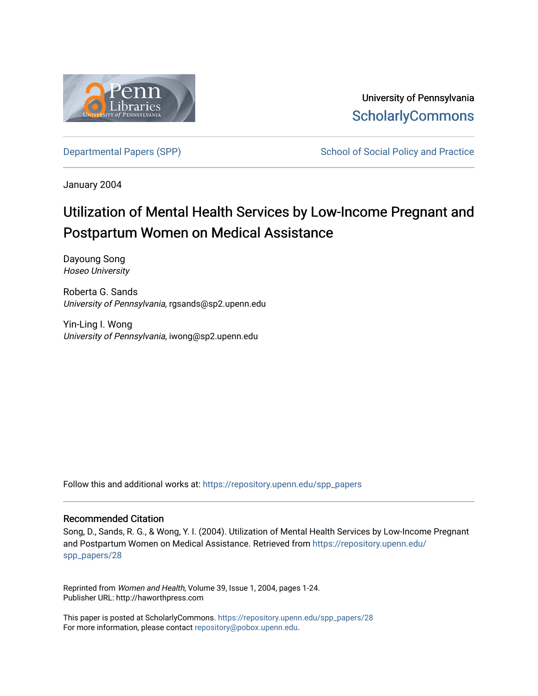

University of Pennsylvania **ScholarlyCommons** 

[Departmental Papers \(SPP\)](https://repository.upenn.edu/spp_papers) School of Social Policy and Practice

January 2004

# Utilization of Mental Health Services by Low-Income Pregnant and Postpartum Women on Medical Assistance

Dayoung Song Hoseo University

Roberta G. Sands University of Pennsylvania, rgsands@sp2.upenn.edu

Yin-Ling I. Wong University of Pennsylvania, iwong@sp2.upenn.edu

Follow this and additional works at: [https://repository.upenn.edu/spp\\_papers](https://repository.upenn.edu/spp_papers?utm_source=repository.upenn.edu%2Fspp_papers%2F28&utm_medium=PDF&utm_campaign=PDFCoverPages) 

## Recommended Citation

Song, D., Sands, R. G., & Wong, Y. I. (2004). Utilization of Mental Health Services by Low-Income Pregnant and Postpartum Women on Medical Assistance. Retrieved from [https://repository.upenn.edu/](https://repository.upenn.edu/spp_papers/28?utm_source=repository.upenn.edu%2Fspp_papers%2F28&utm_medium=PDF&utm_campaign=PDFCoverPages) [spp\\_papers/28](https://repository.upenn.edu/spp_papers/28?utm_source=repository.upenn.edu%2Fspp_papers%2F28&utm_medium=PDF&utm_campaign=PDFCoverPages) 

Reprinted from Women and Health, Volume 39, Issue 1, 2004, pages 1-24. Publisher URL: http://haworthpress.com

This paper is posted at ScholarlyCommons. [https://repository.upenn.edu/spp\\_papers/28](https://repository.upenn.edu/spp_papers/28)  For more information, please contact [repository@pobox.upenn.edu.](mailto:repository@pobox.upenn.edu)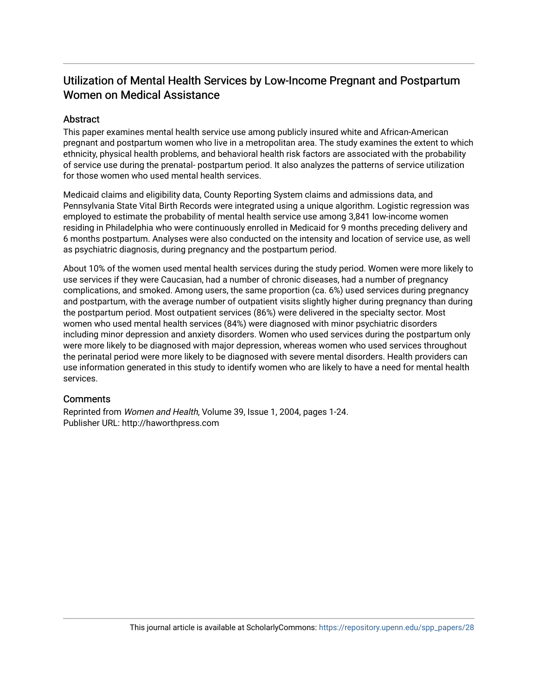## Utilization of Mental Health Services by Low-Income Pregnant and Postpartum Women on Medical Assistance

## **Abstract**

This paper examines mental health service use among publicly insured white and African-American pregnant and postpartum women who live in a metropolitan area. The study examines the extent to which ethnicity, physical health problems, and behavioral health risk factors are associated with the probability of service use during the prenatal- postpartum period. It also analyzes the patterns of service utilization for those women who used mental health services.

Medicaid claims and eligibility data, County Reporting System claims and admissions data, and Pennsylvania State Vital Birth Records were integrated using a unique algorithm. Logistic regression was employed to estimate the probability of mental health service use among 3,841 low-income women residing in Philadelphia who were continuously enrolled in Medicaid for 9 months preceding delivery and 6 months postpartum. Analyses were also conducted on the intensity and location of service use, as well as psychiatric diagnosis, during pregnancy and the postpartum period.

About 10% of the women used mental health services during the study period. Women were more likely to use services if they were Caucasian, had a number of chronic diseases, had a number of pregnancy complications, and smoked. Among users, the same proportion (ca. 6%) used services during pregnancy and postpartum, with the average number of outpatient visits slightly higher during pregnancy than during the postpartum period. Most outpatient services (86%) were delivered in the specialty sector. Most women who used mental health services (84%) were diagnosed with minor psychiatric disorders including minor depression and anxiety disorders. Women who used services during the postpartum only were more likely to be diagnosed with major depression, whereas women who used services throughout the perinatal period were more likely to be diagnosed with severe mental disorders. Health providers can use information generated in this study to identify women who are likely to have a need for mental health services.

## **Comments**

Reprinted from Women and Health, Volume 39, Issue 1, 2004, pages 1-24. Publisher URL: http://haworthpress.com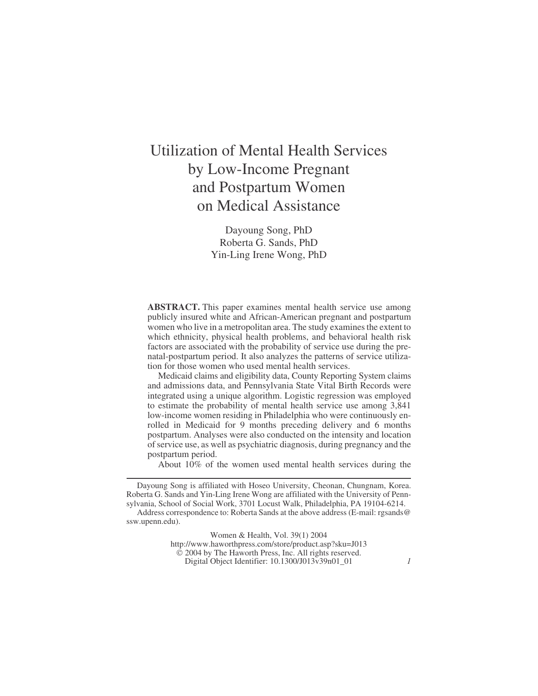## Utilization of Mental Health Services by Low-Income Pregnant and Postpartum Women on Medical Assistance

Dayoung Song, PhD Roberta G. Sands, PhD Yin-Ling Irene Wong, PhD

**ABSTRACT.** This paper examines mental health service use among publicly insured white and African-American pregnant and postpartum women who live in a metropolitan area. The study examines the extent to which ethnicity, physical health problems, and behavioral health risk factors are associated with the probability of service use during the prenatal-postpartum period. It also analyzes the patterns of service utilization for those women who used mental health services.

Medicaid claims and eligibility data, County Reporting System claims and admissions data, and Pennsylvania State Vital Birth Records were integrated using a unique algorithm. Logistic regression was employed to estimate the probability of mental health service use among 3,841 low-income women residing in Philadelphia who were continuously enrolled in Medicaid for 9 months preceding delivery and 6 months postpartum. Analyses were also conducted on the intensity and location of service use, as well as psychiatric diagnosis, during pregnancy and the postpartum period.

About 10% of the women used mental health services during the

Dayoung Song is affiliated with Hoseo University, Cheonan, Chungnam, Korea. Roberta G. Sands and Yin-Ling Irene Wong are affiliated with the University of Pennsylvania, School of Social Work, 3701 Locust Walk, Philadelphia, PA 19104-6214.

Address correspondence to: Roberta Sands at the above address (E-mail: rgsands@ ssw.upenn.edu).

> Women & Health, Vol. 39(1) 2004 <http://www.haworthpress.com/store/product.asp?sku=J013>  $\overline{Q}$  2004 by The Haworth Press, Inc. All rights reserved. Digital Object Identifier: 10.1300/J013v39n01\_01 *1*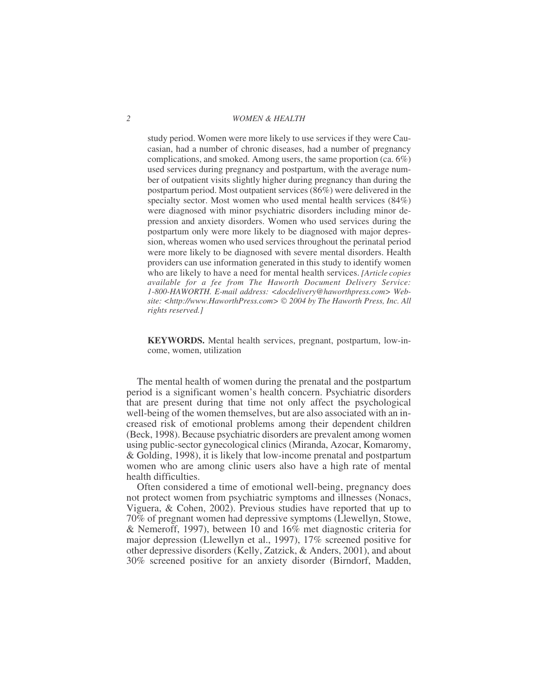study period. Women were more likely to use services if they were Caucasian, had a number of chronic diseases, had a number of pregnancy complications, and smoked. Among users, the same proportion (ca. 6%) used services during pregnancy and postpartum, with the average number of outpatient visits slightly higher during pregnancy than during the postpartum period. Most outpatient services (86%) were delivered in the specialty sector. Most women who used mental health services (84%) were diagnosed with minor psychiatric disorders including minor depression and anxiety disorders. Women who used services during the postpartum only were more likely to be diagnosed with major depression, whereas women who used services throughout the perinatal period were more likely to be diagnosed with severe mental disorders. Health providers can use information generated in this study to identify women who are likely to have a need for mental health services.*[Article copies available for a fee from The Haworth Document Delivery Service: 1-800-HAWORTH. E-mail address: <docdelivery@haworthpress.com> Website: [<http://www.HaworthPress.com>](http://www.HaworthPress.com) 2004 by The Haworth Press, Inc. All rights reserved.]*

**KEYWORDS.** Mental health services, pregnant, postpartum, low-income, women, utilization

The mental health of women during the prenatal and the postpartum period is a significant women's health concern. Psychiatric disorders that are present during that time not only affect the psychological well-being of the women themselves, but are also associated with an increased risk of emotional problems among their dependent children (Beck, 1998). Because psychiatric disorders are prevalent among women using public-sector gynecological clinics (Miranda, Azocar, Komaromy, & Golding, 1998), it is likely that low-income prenatal and postpartum women who are among clinic users also have a high rate of mental health difficulties.

Often considered a time of emotional well-being, pregnancy does not protect women from psychiatric symptoms and illnesses (Nonacs, Viguera, & Cohen, 2002). Previous studies have reported that up to 70% of pregnant women had depressive symptoms (Llewellyn, Stowe, & Nemeroff, 1997), between 10 and 16% met diagnostic criteria for major depression (Llewellyn et al., 1997), 17% screened positive for other depressive disorders (Kelly, Zatzick, & Anders, 2001), and about 30% screened positive for an anxiety disorder (Birndorf, Madden,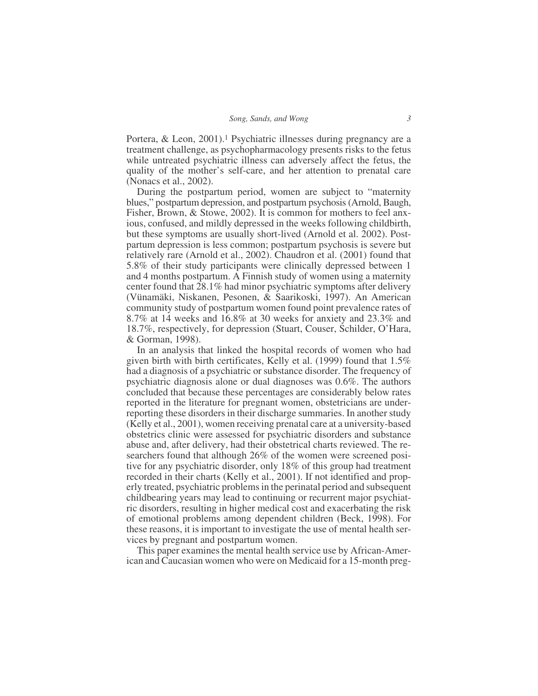Portera, & Leon, 2001).1 Psychiatric illnesses during pregnancy are a treatment challenge, as psychopharmacology presents risks to the fetus while untreated psychiatric illness can adversely affect the fetus, the quality of the mother's self-care, and her attention to prenatal care (Nonacs et al., 2002).

During the postpartum period, women are subject to "maternity blues," postpartum depression, and postpartum psychosis (Arnold, Baugh, Fisher, Brown, & Stowe, 2002). It is common for mothers to feel anxious, confused, and mildly depressed in the weeks following childbirth, but these symptoms are usually short-lived (Arnold et al. 2002). Postpartum depression is less common; postpartum psychosis is severe but relatively rare (Arnold et al., 2002). Chaudron et al. (2001) found that 5.8% of their study participants were clinically depressed between 1 and 4 months postpartum. A Finnish study of women using a maternity center found that 28.1% had minor psychiatric symptoms after delivery (Vünamäki, Niskanen, Pesonen, & Saarikoski, 1997). An American community study of postpartum women found point prevalence rates of 8.7% at 14 weeks and 16.8% at 30 weeks for anxiety and 23.3% and 18.7%, respectively, for depression (Stuart, Couser, Schilder, O'Hara, & Gorman, 1998).

In an analysis that linked the hospital records of women who had given birth with birth certificates, Kelly et al. (1999) found that 1.5% had a diagnosis of a psychiatric or substance disorder. The frequency of psychiatric diagnosis alone or dual diagnoses was 0.6%. The authors concluded that because these percentages are considerably below rates reported in the literature for pregnant women, obstetricians are underreporting these disorders in their discharge summaries. In another study (Kelly et al., 2001), women receiving prenatal care at a university-based obstetrics clinic were assessed for psychiatric disorders and substance abuse and, after delivery, had their obstetrical charts reviewed. The researchers found that although 26% of the women were screened positive for any psychiatric disorder, only 18% of this group had treatment recorded in their charts (Kelly et al., 2001). If not identified and properly treated, psychiatric problems in the perinatal period and subsequent childbearing years may lead to continuing or recurrent major psychiatric disorders, resulting in higher medical cost and exacerbating the risk of emotional problems among dependent children (Beck, 1998). For these reasons, it is important to investigate the use of mental health services by pregnant and postpartum women.

This paper examines the mental health service use by African-American and Caucasian women who were on Medicaid for a 15-month preg-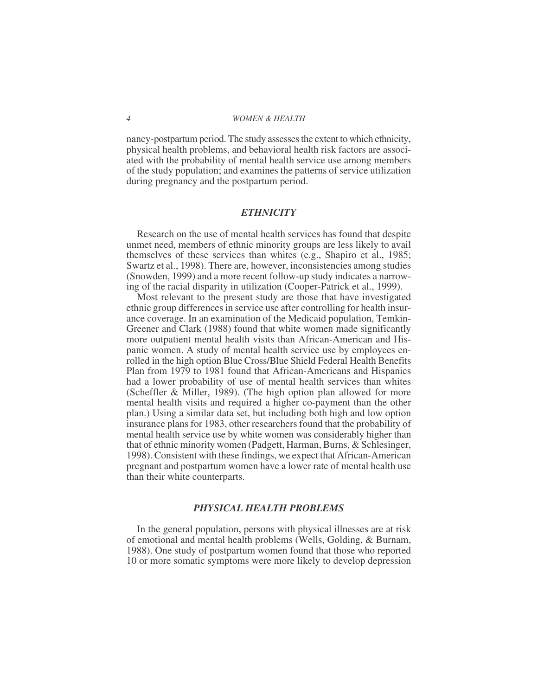nancy-postpartum period. The study assesses the extent to which ethnicity, physical health problems, and behavioral health risk factors are associated with the probability of mental health service use among members of the study population; and examines the patterns of service utilization during pregnancy and the postpartum period.

## *ETHNICITY*

Research on the use of mental health services has found that despite unmet need, members of ethnic minority groups are less likely to avail themselves of these services than whites (e.g., Shapiro et al., 1985; Swartz et al., 1998). There are, however, inconsistencies among studies (Snowden, 1999) and a more recent follow-up study indicates a narrowing of the racial disparity in utilization (Cooper-Patrick et al., 1999).

Most relevant to the present study are those that have investigated ethnic group differences in service use after controlling for health insurance coverage. In an examination of the Medicaid population, Temkin-Greener and Clark (1988) found that white women made significantly more outpatient mental health visits than African-American and Hispanic women. A study of mental health service use by employees enrolled in the high option Blue Cross/Blue Shield Federal Health Benefits Plan from 1979 to 1981 found that African-Americans and Hispanics had a lower probability of use of mental health services than whites (Scheffler & Miller, 1989). (The high option plan allowed for more mental health visits and required a higher co-payment than the other plan.) Using a similar data set, but including both high and low option insurance plans for 1983, other researchers found that the probability of mental health service use by white women was considerably higher than that of ethnic minority women (Padgett, Harman, Burns, & Schlesinger, 1998). Consistent with these findings, we expect that African-American pregnant and postpartum women have a lower rate of mental health use than their white counterparts.

## *PHYSICAL HEALTH PROBLEMS*

In the general population, persons with physical illnesses are at risk of emotional and mental health problems (Wells, Golding, & Burnam, 1988). One study of postpartum women found that those who reported 10 or more somatic symptoms were more likely to develop depression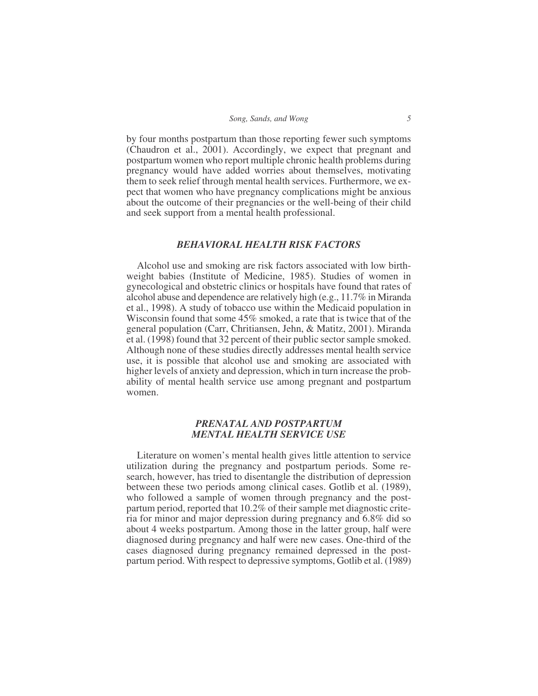#### *Song, Sands, and Wong 5*

by four months postpartum than those reporting fewer such symptoms (Chaudron et al., 2001). Accordingly, we expect that pregnant and postpartum women who report multiple chronic health problems during pregnancy would have added worries about themselves, motivating them to seek relief through mental health services. Furthermore, we expect that women who have pregnancy complications might be anxious about the outcome of their pregnancies or the well-being of their child and seek support from a mental health professional.

## *BEHAVIORAL HEALTH RISK FACTORS*

Alcohol use and smoking are risk factors associated with low birthweight babies (Institute of Medicine, 1985). Studies of women in gynecological and obstetric clinics or hospitals have found that rates of alcohol abuse and dependence are relatively high (e.g., 11.7% in Miranda et al., 1998). A study of tobacco use within the Medicaid population in Wisconsin found that some 45% smoked, a rate that is twice that of the general population (Carr, Chritiansen, Jehn, & Matitz, 2001). Miranda et al. (1998) found that 32 percent of their public sector sample smoked. Although none of these studies directly addresses mental health service use, it is possible that alcohol use and smoking are associated with higher levels of anxiety and depression, which in turn increase the probability of mental health service use among pregnant and postpartum women.

## *PRENATAL AND POSTPARTUM MENTAL HEALTH SERVICE USE*

Literature on women's mental health gives little attention to service utilization during the pregnancy and postpartum periods. Some research, however, has tried to disentangle the distribution of depression between these two periods among clinical cases. Gotlib et al. (1989), who followed a sample of women through pregnancy and the postpartum period, reported that 10.2% of their sample met diagnostic criteria for minor and major depression during pregnancy and 6.8% did so about 4 weeks postpartum. Among those in the latter group, half were diagnosed during pregnancy and half were new cases. One-third of the cases diagnosed during pregnancy remained depressed in the postpartum period. With respect to depressive symptoms, Gotlib et al. (1989)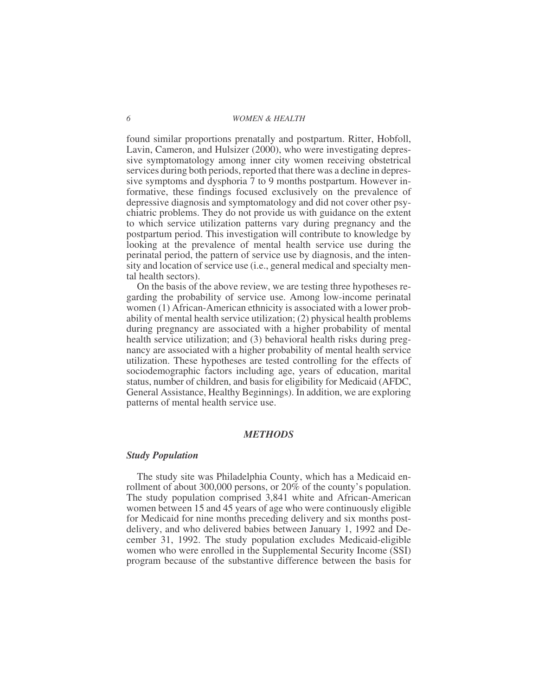found similar proportions prenatally and postpartum. Ritter, Hobfoll, Lavin, Cameron, and Hulsizer (2000), who were investigating depressive symptomatology among inner city women receiving obstetrical services during both periods, reported that there was a decline in depressive symptoms and dysphoria 7 to 9 months postpartum. However informative, these findings focused exclusively on the prevalence of depressive diagnosis and symptomatology and did not cover other psychiatric problems. They do not provide us with guidance on the extent to which service utilization patterns vary during pregnancy and the postpartum period. This investigation will contribute to knowledge by looking at the prevalence of mental health service use during the perinatal period, the pattern of service use by diagnosis, and the intensity and location of service use (i.e., general medical and specialty mental health sectors).

On the basis of the above review, we are testing three hypotheses regarding the probability of service use. Among low-income perinatal women (1) African-American ethnicity is associated with a lower probability of mental health service utilization; (2) physical health problems during pregnancy are associated with a higher probability of mental health service utilization; and (3) behavioral health risks during pregnancy are associated with a higher probability of mental health service utilization. These hypotheses are tested controlling for the effects of sociodemographic factors including age, years of education, marital status, number of children, and basis for eligibility for Medicaid (AFDC, General Assistance, Healthy Beginnings). In addition, we are exploring patterns of mental health service use.

## *METHODS*

## *Study Population*

The study site was Philadelphia County, which has a Medicaid enrollment of about 300,000 persons, or 20% of the county's population. The study population comprised 3,841 white and African-American women between 15 and 45 years of age who were continuously eligible for Medicaid for nine months preceding delivery and six months postdelivery, and who delivered babies between January 1, 1992 and December 31, 1992. The study population excludes Medicaid-eligible women who were enrolled in the Supplemental Security Income (SSI) program because of the substantive difference between the basis for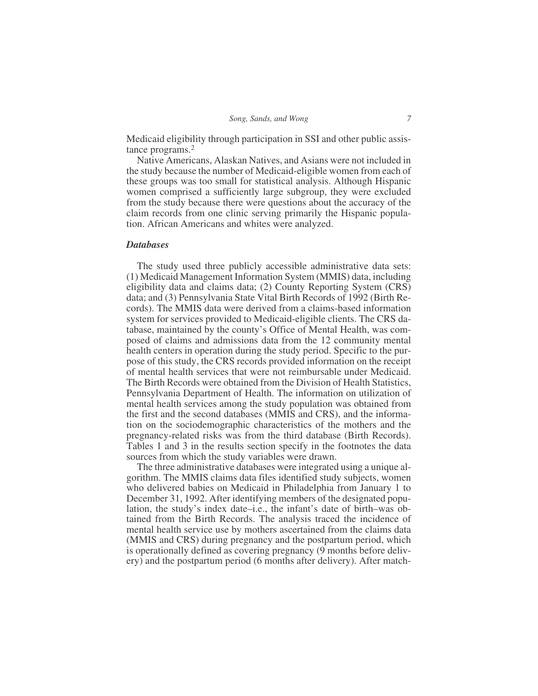Medicaid eligibility through participation in SSI and other public assistance programs.2

Native Americans, Alaskan Natives, and Asians were not included in the study because the number of Medicaid-eligible women from each of these groups was too small for statistical analysis. Although Hispanic women comprised a sufficiently large subgroup, they were excluded from the study because there were questions about the accuracy of the claim records from one clinic serving primarily the Hispanic population. African Americans and whites were analyzed.

## *Databases*

The study used three publicly accessible administrative data sets: (1) Medicaid Management Information System (MMIS) data, including eligibility data and claims data; (2) County Reporting System (CRS) data; and (3) Pennsylvania State Vital Birth Records of 1992 (Birth Records). The MMIS data were derived from a claims-based information system for services provided to Medicaid-eligible clients. The CRS database, maintained by the county's Office of Mental Health, was composed of claims and admissions data from the 12 community mental health centers in operation during the study period. Specific to the purpose of this study, the CRS records provided information on the receipt of mental health services that were not reimbursable under Medicaid. The Birth Records were obtained from the Division of Health Statistics, Pennsylvania Department of Health. The information on utilization of mental health services among the study population was obtained from the first and the second databases (MMIS and CRS), and the information on the sociodemographic characteristics of the mothers and the pregnancy-related risks was from the third database (Birth Records). Tables 1 and 3 in the results section specify in the footnotes the data sources from which the study variables were drawn.

The three administrative databases were integrated using a unique algorithm. The MMIS claims data files identified study subjects, women who delivered babies on Medicaid in Philadelphia from January 1 to December 31, 1992. After identifying members of the designated population, the study's index date–i.e., the infant's date of birth–was obtained from the Birth Records. The analysis traced the incidence of mental health service use by mothers ascertained from the claims data (MMIS and CRS) during pregnancy and the postpartum period, which is operationally defined as covering pregnancy (9 months before delivery) and the postpartum period (6 months after delivery). After match-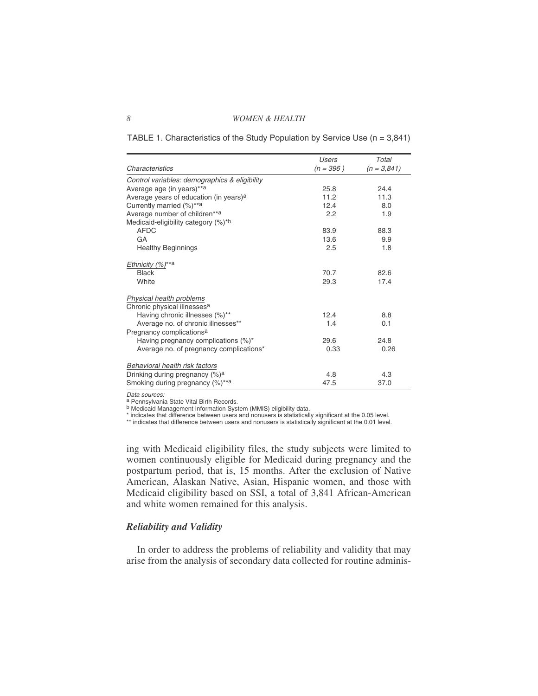*8 WOMEN & HEALTH*

| TABLE 1. Characteristics of the Study Population by Service Use ( $n = 3,841$ ) |  |  |  |
|---------------------------------------------------------------------------------|--|--|--|
|---------------------------------------------------------------------------------|--|--|--|

| Characteristics                                    | Users<br>$(n = 396)$ | Total<br>$(n = 3,841)$ |
|----------------------------------------------------|----------------------|------------------------|
|                                                    |                      |                        |
| Control variables: demographics & eligibility      |                      |                        |
| Average age (in years)**a                          | 25.8                 | 24.4                   |
| Average years of education (in years) <sup>a</sup> | 11.2                 | 11.3                   |
| Currently married (%)**a                           | 12.4                 | 8.0                    |
| Average number of children**a                      | 2.2                  | 1.9                    |
| Medicaid-eligibility category (%) <sup>*b</sup>    |                      |                        |
| <b>AFDC</b>                                        | 83.9                 | 88.3                   |
| GA                                                 | 13.6                 | 9.9                    |
| <b>Healthy Beginnings</b>                          | 2.5                  | 1.8                    |
| Ethnicity $(\%)^{*a}$                              |                      |                        |
| <b>Black</b>                                       | 70.7                 | 82.6                   |
| White                                              | 29.3                 | 17.4                   |
| Physical health problems                           |                      |                        |
| Chronic physical illnesses <sup>a</sup>            |                      |                        |
| Having chronic illnesses (%)**                     | 12.4                 | 8.8                    |
| Average no. of chronic illnesses**                 | 1.4                  | 0.1                    |
| Pregnancy complications <sup>a</sup>               |                      |                        |
| Having pregnancy complications (%)*                | 29.6                 | 24.8                   |
| Average no. of pregnancy complications*            | 0.33                 | 0.26                   |
| Behavioral health risk factors                     |                      |                        |
| Drinking during pregnancy (%) <sup>a</sup>         | 4.8                  | 4.3                    |
| Smoking during pregnancy (%)**a                    | 47.5                 | 37.0                   |

Data sources:

a Pennsylvania State Vital Birth Records.

b Medicaid Management Information System (MMIS) eligibility data.

\* indicates that difference between users and nonusers is statistically significant at the 0.05 level. \*\* indicates that difference between users and nonusers is statistically significant at the 0.01 level.

ing with Medicaid eligibility files, the study subjects were limited to women continuously eligible for Medicaid during pregnancy and the postpartum period, that is, 15 months. After the exclusion of Native American, Alaskan Native, Asian, Hispanic women, and those with Medicaid eligibility based on SSI, a total of 3,841 African-American and white women remained for this analysis.

## *Reliability and Validity*

In order to address the problems of reliability and validity that may arise from the analysis of secondary data collected for routine adminis-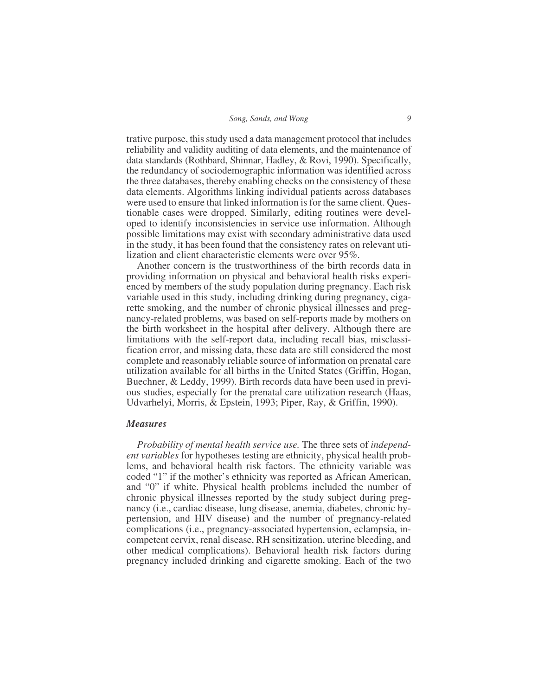#### *Song, Sands, and Wong* 9

trative purpose, this study used a data management protocol that includes reliability and validity auditing of data elements, and the maintenance of data standards (Rothbard, Shinnar, Hadley, & Rovi, 1990). Specifically, the redundancy of sociodemographic information was identified across the three databases, thereby enabling checks on the consistency of these data elements. Algorithms linking individual patients across databases were used to ensure that linked information is for the same client. Questionable cases were dropped. Similarly, editing routines were developed to identify inconsistencies in service use information. Although possible limitations may exist with secondary administrative data used in the study, it has been found that the consistency rates on relevant utilization and client characteristic elements were over 95%.

Another concern is the trustworthiness of the birth records data in providing information on physical and behavioral health risks experienced by members of the study population during pregnancy. Each risk variable used in this study, including drinking during pregnancy, cigarette smoking, and the number of chronic physical illnesses and pregnancy-related problems, was based on self-reports made by mothers on the birth worksheet in the hospital after delivery. Although there are limitations with the self-report data, including recall bias, misclassification error, and missing data, these data are still considered the most complete and reasonably reliable source of information on prenatal care utilization available for all births in the United States (Griffin, Hogan, Buechner, & Leddy, 1999). Birth records data have been used in previous studies, especially for the prenatal care utilization research (Haas, Udvarhelyi, Morris, & Epstein, 1993; Piper, Ray, & Griffin, 1990).

#### *Measures*

*Probability of mental health service use.* The three sets of *independent variables* for hypotheses testing are ethnicity, physical health problems, and behavioral health risk factors. The ethnicity variable was coded "1" if the mother's ethnicity was reported as African American, and "0" if white. Physical health problems included the number of chronic physical illnesses reported by the study subject during pregnancy (i.e., cardiac disease, lung disease, anemia, diabetes, chronic hypertension, and HIV disease) and the number of pregnancy-related complications (i.e., pregnancy-associated hypertension, eclampsia, incompetent cervix, renal disease, RH sensitization, uterine bleeding, and other medical complications). Behavioral health risk factors during pregnancy included drinking and cigarette smoking. Each of the two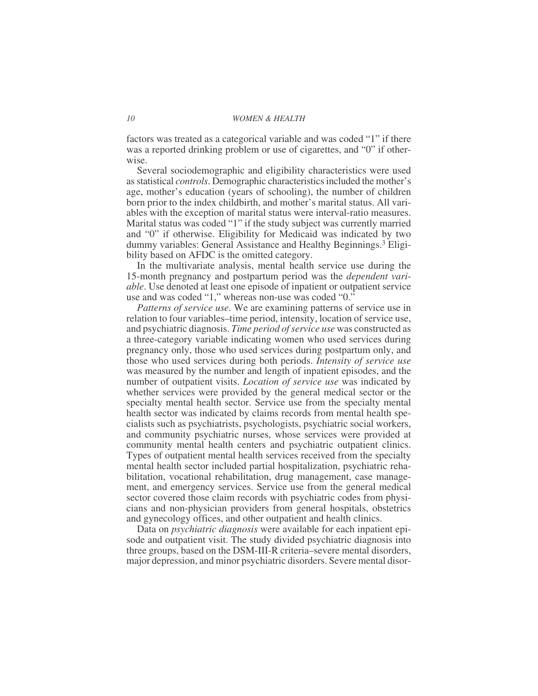factors was treated as a categorical variable and was coded "1" if there was a reported drinking problem or use of cigarettes, and "0" if otherwise.

Several sociodemographic and eligibility characteristics were used as statistical *controls*. Demographic characteristics included the mother's age, mother's education (years of schooling), the number of children born prior to the index childbirth, and mother's marital status. All variables with the exception of marital status were interval-ratio measures. Marital status was coded "1" if the study subject was currently married and "0" if otherwise. Eligibility for Medicaid was indicated by two dummy variables: General Assistance and Healthy Beginnings.3 Eligibility based on AFDC is the omitted category.

In the multivariate analysis, mental health service use during the 15-month pregnancy and postpartum period was the *dependent variable*. Use denoted at least one episode of inpatient or outpatient service use and was coded "1," whereas non-use was coded "0."

*Patterns of service use.* We are examining patterns of service use in relation to four variables–time period, intensity, location of service use, and psychiatric diagnosis. *Time period of service use* was constructed as a three-category variable indicating women who used services during pregnancy only, those who used services during postpartum only, and those who used services during both periods. *Intensity of service use* was measured by the number and length of inpatient episodes, and the number of outpatient visits. *Location of service use* was indicated by whether services were provided by the general medical sector or the specialty mental health sector. Service use from the specialty mental health sector was indicated by claims records from mental health specialists such as psychiatrists, psychologists, psychiatric social workers, and community psychiatric nurses, whose services were provided at community mental health centers and psychiatric outpatient clinics. Types of outpatient mental health services received from the specialty mental health sector included partial hospitalization, psychiatric rehabilitation, vocational rehabilitation, drug management, case management, and emergency services. Service use from the general medical sector covered those claim records with psychiatric codes from physicians and non-physician providers from general hospitals, obstetrics and gynecology offices, and other outpatient and health clinics.

Data on *psychiatric diagnosis* were available for each inpatient episode and outpatient visit. The study divided psychiatric diagnosis into three groups, based on the DSM-III-R criteria–severe mental disorders, major depression, and minor psychiatric disorders. Severe mental disor-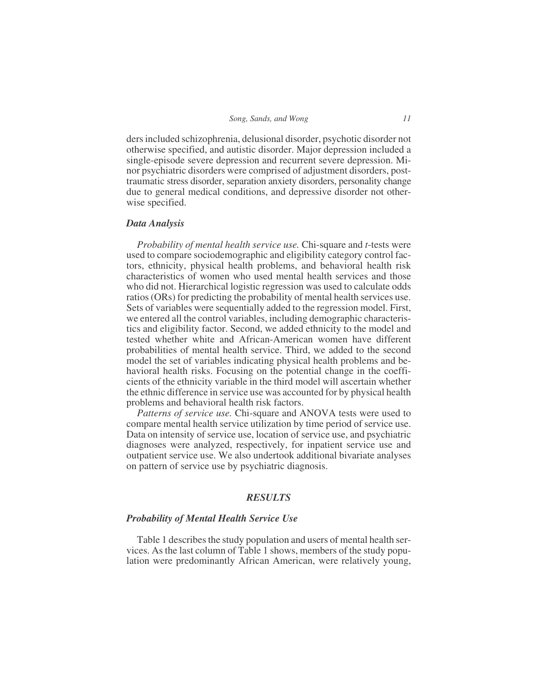ders included schizophrenia, delusional disorder, psychotic disorder not otherwise specified, and autistic disorder. Major depression included a single-episode severe depression and recurrent severe depression. Minor psychiatric disorders were comprised of adjustment disorders, posttraumatic stress disorder, separation anxiety disorders, personality change due to general medical conditions, and depressive disorder not otherwise specified.

#### *Data Analysis*

*Probability of mental health service use.* Chi-square and *t*-tests were used to compare sociodemographic and eligibility category control factors, ethnicity, physical health problems, and behavioral health risk characteristics of women who used mental health services and those who did not. Hierarchical logistic regression was used to calculate odds ratios (ORs) for predicting the probability of mental health services use. Sets of variables were sequentially added to the regression model. First, we entered all the control variables, including demographic characteristics and eligibility factor. Second, we added ethnicity to the model and tested whether white and African-American women have different probabilities of mental health service. Third, we added to the second model the set of variables indicating physical health problems and behavioral health risks. Focusing on the potential change in the coefficients of the ethnicity variable in the third model will ascertain whether the ethnic difference in service use was accounted for by physical health problems and behavioral health risk factors.

*Patterns of service use.* Chi-square and ANOVA tests were used to compare mental health service utilization by time period of service use. Data on intensity of service use, location of service use, and psychiatric diagnoses were analyzed, respectively, for inpatient service use and outpatient service use. We also undertook additional bivariate analyses on pattern of service use by psychiatric diagnosis.

## *RESULTS*

## *Probability of Mental Health Service Use*

Table 1 describes the study population and users of mental health services. As the last column of Table 1 shows, members of the study population were predominantly African American, were relatively young,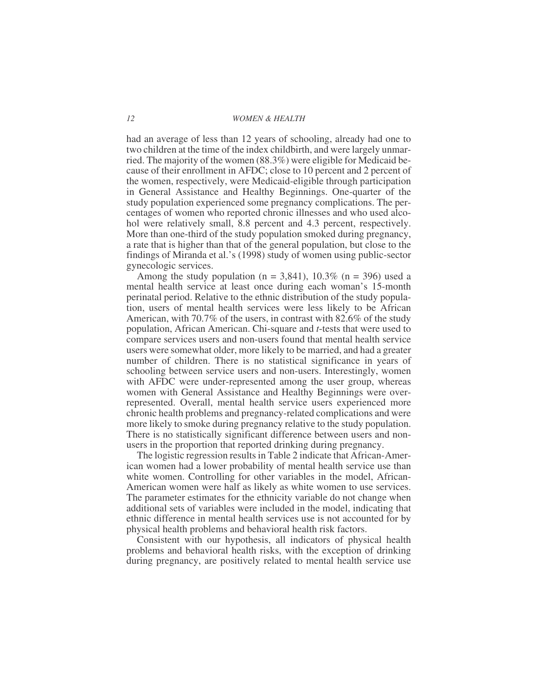had an average of less than 12 years of schooling, already had one to two children at the time of the index childbirth, and were largely unmarried. The majority of the women (88.3%) were eligible for Medicaid because of their enrollment in AFDC; close to 10 percent and 2 percent of the women, respectively, were Medicaid-eligible through participation in General Assistance and Healthy Beginnings. One-quarter of the study population experienced some pregnancy complications. The percentages of women who reported chronic illnesses and who used alcohol were relatively small, 8.8 percent and 4.3 percent, respectively. More than one-third of the study population smoked during pregnancy, a rate that is higher than that of the general population, but close to the findings of Miranda et al.'s (1998) study of women using public-sector gynecologic services.

Among the study population ( $n = 3,841$ ), 10.3% ( $n = 396$ ) used a mental health service at least once during each woman's 15-month perinatal period. Relative to the ethnic distribution of the study population, users of mental health services were less likely to be African American, with 70.7% of the users, in contrast with 82.6% of the study population, African American. Chi-square and *t*-tests that were used to compare services users and non-users found that mental health service users were somewhat older, more likely to be married, and had a greater number of children. There is no statistical significance in years of schooling between service users and non-users. Interestingly, women with AFDC were under-represented among the user group, whereas women with General Assistance and Healthy Beginnings were overrepresented. Overall, mental health service users experienced more chronic health problems and pregnancy-related complications and were more likely to smoke during pregnancy relative to the study population. There is no statistically significant difference between users and nonusers in the proportion that reported drinking during pregnancy.

The logistic regression results in Table 2 indicate that African-American women had a lower probability of mental health service use than white women. Controlling for other variables in the model, African-American women were half as likely as white women to use services. The parameter estimates for the ethnicity variable do not change when additional sets of variables were included in the model, indicating that ethnic difference in mental health services use is not accounted for by physical health problems and behavioral health risk factors.

Consistent with our hypothesis, all indicators of physical health problems and behavioral health risks, with the exception of drinking during pregnancy, are positively related to mental health service use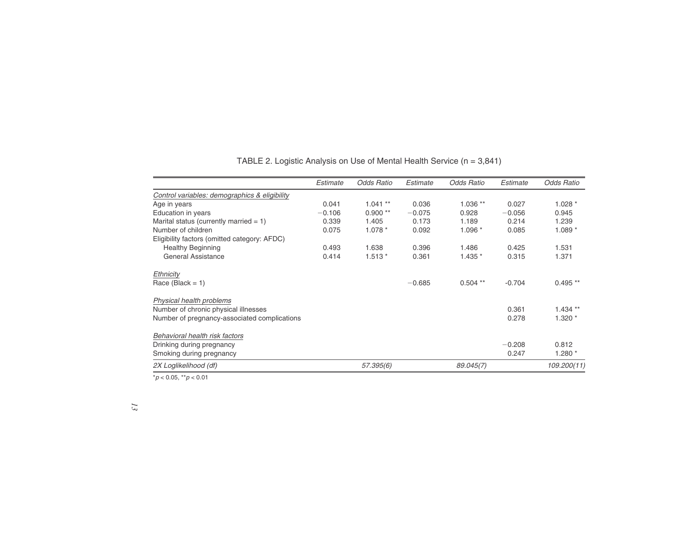|                                               | Estimate | <b>Odds Ratio</b> | Estimate | Odds Ratio | Estimate | Odds Ratio  |
|-----------------------------------------------|----------|-------------------|----------|------------|----------|-------------|
| Control variables: demographics & eligibility |          |                   |          |            |          |             |
| Age in years                                  | 0.041    | $1.041**$         | 0.036    | $1.036**$  | 0.027    | $1.028*$    |
| Education in years                            | $-0.106$ | $0.900**$         | $-0.075$ | 0.928      | $-0.056$ | 0.945       |
| Marital status (currently married $= 1$ )     | 0.339    | 1.405             | 0.173    | 1.189      | 0.214    | 1.239       |
| Number of children                            | 0.075    | $1.078*$          | 0.092    | $1.096*$   | 0.085    | $1.089*$    |
| Eligibility factors (omitted category: AFDC)  |          |                   |          |            |          |             |
| <b>Healthy Beginning</b>                      | 0.493    | 1.638             | 0.396    | 1.486      | 0.425    | 1.531       |
| <b>General Assistance</b>                     | 0.414    | $1.513*$          | 0.361    | $1.435*$   | 0.315    | 1.371       |
| Ethnicity                                     |          |                   |          |            |          |             |
| Race (Black = $1$ )                           |          |                   | $-0.685$ | $0.504$ ** | $-0.704$ | $0.495**$   |
| Physical health problems                      |          |                   |          |            |          |             |
| Number of chronic physical illnesses          |          |                   |          |            | 0.361    | $1.434**$   |
| Number of pregnancy-associated complications  |          |                   |          |            | 0.278    | $1.320*$    |
| Behavioral health risk factors                |          |                   |          |            |          |             |
| Drinking during pregnancy                     |          |                   |          |            | $-0.208$ | 0.812       |
| Smoking during pregnancy                      |          |                   |          |            | 0.247    | $1.280*$    |
| 2X Loglikelihood (df)                         |          | 57.395(6)         |          | 89.045(7)  |          | 109.200(11) |
|                                               |          |                   |          |            |          |             |

TABLE 2. Logistic Analysis on Use of Mental Health Service (n <sup>=</sup> 3,841)

 $*p < 0.05$ ,  $*p < 0.01$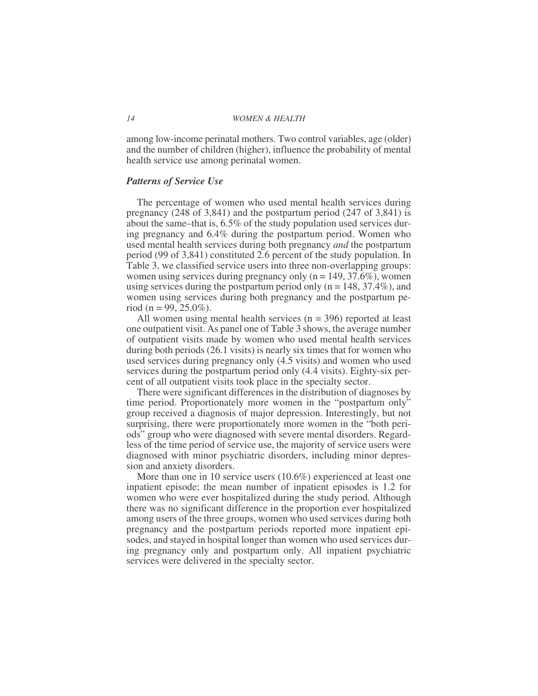among low-income perinatal mothers. Two control variables, age (older) and the number of children (higher), influence the probability of mental health service use among perinatal women.

## *Patterns of Service Use*

The percentage of women who used mental health services during pregnancy (248 of 3,841) and the postpartum period (247 of 3,841) is about the same–that is, 6.5% of the study population used services during pregnancy and 6.4% during the postpartum period. Women who used mental health services during both pregnancy *and* the postpartum period (99 of 3,841) constituted 2.6 percent of the study population. In Table 3, we classified service users into three non-overlapping groups: women using services during pregnancy only ( $n = 149, 37.6\%$ ), women using services during the postpartum period only ( $n = 148, 37.4\%$ ), and women using services during both pregnancy and the postpartum period (n = 99, 25.0%).

All women using mental health services ( $n = 396$ ) reported at least one outpatient visit. As panel one of Table 3 shows, the average number of outpatient visits made by women who used mental health services during both periods (26.1 visits) is nearly six times that for women who used services during pregnancy only (4.5 visits) and women who used services during the postpartum period only (4.4 visits). Eighty-six percent of all outpatient visits took place in the specialty sector.

There were significant differences in the distribution of diagnoses by time period. Proportionately more women in the "postpartum only" group received a diagnosis of major depression. Interestingly, but not surprising, there were proportionately more women in the "both periods" group who were diagnosed with severe mental disorders. Regardless of the time period of service use, the majority of service users were diagnosed with minor psychiatric disorders, including minor depression and anxiety disorders.

More than one in 10 service users (10.6%) experienced at least one inpatient episode; the mean number of inpatient episodes is 1.2 for women who were ever hospitalized during the study period. Although there was no significant difference in the proportion ever hospitalized among users of the three groups, women who used services during both pregnancy and the postpartum periods reported more inpatient episodes, and stayed in hospital longer than women who used services during pregnancy only and postpartum only. All inpatient psychiatric services were delivered in the specialty sector.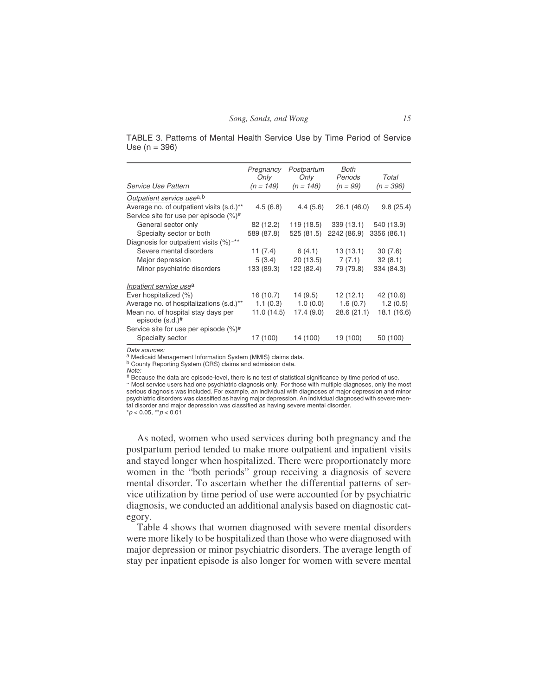TABLE 3. Patterns of Mental Health Service Use by Time Period of Service Use (n = 396)

|                                                          | Pregnancy<br>Only | Postpartum<br>Only    | <b>Both</b><br>Periods | Total       |
|----------------------------------------------------------|-------------------|-----------------------|------------------------|-------------|
| Service Use Pattern                                      | $(n = 149)$       | $(n = 148)$           | $(n = 99)$             | $(n = 396)$ |
| Outpatient service usea,b                                |                   |                       |                        |             |
| Average no. of outpatient visits (s.d.)**                | 4.5(6.8)          | 4.4(5.6)              | 26.1 (46.0)            | 9.8(25.4)   |
| Service site for use per episode $(\%)^{\#}$             |                   |                       |                        |             |
| General sector only                                      | 82 (12.2)         | 119 (18.5)            | 339(13.1)              | 540 (13.9)  |
| Specialty sector or both                                 | 589 (87.8)        | 525 (81.5)            | 2242 (86.9)            | 3356 (86.1) |
| Diagnosis for outpatient visits (%)~**                   |                   |                       |                        |             |
| Severe mental disorders                                  | 11 $(7.4)$        | 6 (4.1)               | 13 (13.1)              | 30(7.6)     |
| Major depression                                         | 5(3.4)            | 20 (13.5)             | 7(7.1)                 | 32(8.1)     |
| Minor psychiatric disorders                              | 133 (89.3)        | 122 (82.4)            | 79 (79.8)              | 334 (84.3)  |
| Inpatient service use <sup>a</sup>                       |                   |                       |                        |             |
| Ever hospitalized (%)                                    | 16 (10.7)         | 14 (9.5)              | 12 (12.1)              | 42 (10.6)   |
| Average no. of hospitalizations (s.d.)**                 |                   | $1.1(0.3)$ $1.0(0.0)$ | 1.6(0.7)               | 1.2(0.5)    |
| Mean no. of hospital stay days per<br>episode $(s.d.)$ # | 11.0 (14.5)       | 17.4 (9.0)            | 28.6 (21.1)            | 18.1 (16.6) |
| Service site for use per episode $(\%)^{\#}$             |                   |                       |                        |             |
| Specialty sector                                         | 17 (100)          | 14 (100)              | 19 (100)               | 50 (100)    |
| Data sources:                                            |                   |                       |                        |             |

a Medicaid Management Information System (MMIS) claims data.

b County Reporting System (CRS) claims and admission data.

Note:

# Because the data are episode-level, there is no test of statistical significance by time period of use.

~ Most service users had one psychiatric diagnosis only. For those with multiple diagnoses, only the most serious diagnosis was included. For example, an individual with diagnoses of major depression and minor psychiatric disorders was classified as having major depression. An individual diagnosed with severe mental disorder and major depression was classified as having severe mental disorder.

 $*p < 0.05$ ,  $*p < 0.01$ 

As noted, women who used services during both pregnancy and the postpartum period tended to make more outpatient and inpatient visits and stayed longer when hospitalized. There were proportionately more women in the "both periods" group receiving a diagnosis of severe mental disorder. To ascertain whether the differential patterns of service utilization by time period of use were accounted for by psychiatric diagnosis, we conducted an additional analysis based on diagnostic category.

Table 4 shows that women diagnosed with severe mental disorders were more likely to be hospitalized than those who were diagnosed with major depression or minor psychiatric disorders. The average length of stay per inpatient episode is also longer for women with severe mental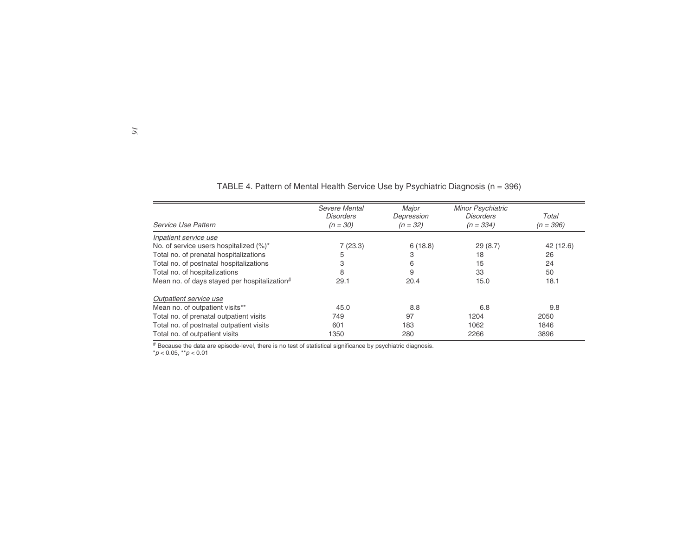| Service Use Pattern                          | Severe Mental<br><b>Disorders</b><br>$(n = 30)$ | Major<br>Depression<br>$(n = 32)$ | <b>Minor Psychiatric</b><br><b>Disorders</b><br>$(n = 334)$ | Total<br>$(n = 396)$ |
|----------------------------------------------|-------------------------------------------------|-----------------------------------|-------------------------------------------------------------|----------------------|
| Inpatient service use                        |                                                 |                                   |                                                             |                      |
| No. of service users hospitalized (%)*       | 7(23.3)                                         | 6(18.8)                           | 29(8.7)                                                     | 42 (12.6)            |
| Total no. of prenatal hospitalizations       | 5                                               | 3                                 | 18                                                          | 26                   |
| Total no. of postnatal hospitalizations      | 3                                               | 6                                 | 15                                                          | 24                   |
| Total no. of hospitalizations                | 8                                               | 9                                 | 33                                                          | 50                   |
| Mean no. of days stayed per hospitalization# | 29.1                                            | 20.4                              | 15.0                                                        | 18.1                 |
| Outpatient service use                       |                                                 |                                   |                                                             |                      |
| Mean no. of outpatient visits**              | 45.0                                            | 8.8                               | 6.8                                                         | 9.8                  |
| Total no. of prenatal outpatient visits      | 749                                             | 97                                | 1204                                                        | 2050                 |
| Total no. of postnatal outpatient visits     | 601                                             | 183                               | 1062                                                        | 1846                 |
| Total no. of outpatient visits               | 1350                                            | 280                               | 2266                                                        | 3896                 |

| TABLE 4. Pattern of Mental Health Service Use by Psychiatric Diagnosis ( $n = 396$ ) |  |
|--------------------------------------------------------------------------------------|--|
|--------------------------------------------------------------------------------------|--|

# Because the data are episode-level, there is no test of statistical significance by psychiatric diagnosis. \*p <sup>&</sup>lt; 0.05, \*\*p <sup>&</sup>lt; 0.01

*16*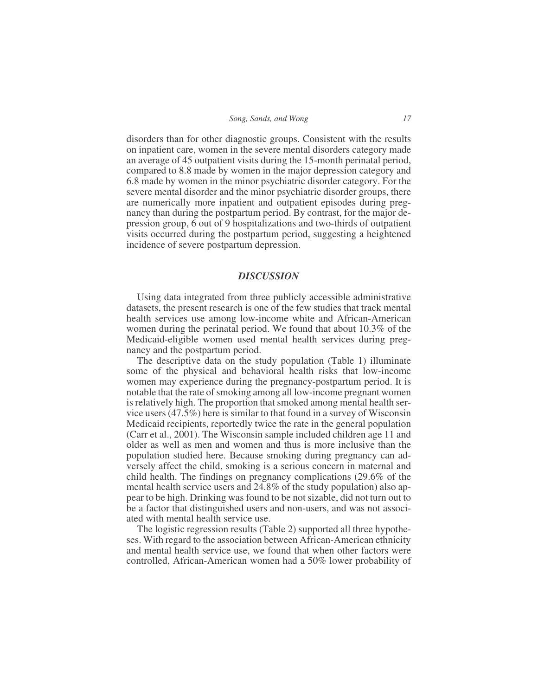*Song, Sands, and Wong 17*

disorders than for other diagnostic groups. Consistent with the results on inpatient care, women in the severe mental disorders category made an average of 45 outpatient visits during the 15-month perinatal period, compared to 8.8 made by women in the major depression category and 6.8 made by women in the minor psychiatric disorder category. For the severe mental disorder and the minor psychiatric disorder groups, there are numerically more inpatient and outpatient episodes during pregnancy than during the postpartum period. By contrast, for the major depression group, 6 out of 9 hospitalizations and two-thirds of outpatient visits occurred during the postpartum period, suggesting a heightened incidence of severe postpartum depression.

## *DISCUSSION*

Using data integrated from three publicly accessible administrative datasets, the present research is one of the few studies that track mental health services use among low-income white and African-American women during the perinatal period. We found that about 10.3% of the Medicaid-eligible women used mental health services during pregnancy and the postpartum period.

The descriptive data on the study population (Table 1) illuminate some of the physical and behavioral health risks that low-income women may experience during the pregnancy-postpartum period. It is notable that the rate of smoking among all low-income pregnant women is relatively high. The proportion that smoked among mental health service users (47.5%) here is similar to that found in a survey of Wisconsin Medicaid recipients, reportedly twice the rate in the general population (Carr et al., 2001). The Wisconsin sample included children age 11 and older as well as men and women and thus is more inclusive than the population studied here. Because smoking during pregnancy can adversely affect the child, smoking is a serious concern in maternal and child health. The findings on pregnancy complications (29.6% of the mental health service users and 24.8% of the study population) also appear to be high. Drinking was found to be not sizable, did not turn out to be a factor that distinguished users and non-users, and was not associated with mental health service use.

The logistic regression results (Table 2) supported all three hypotheses. With regard to the association between African-American ethnicity and mental health service use, we found that when other factors were controlled, African-American women had a 50% lower probability of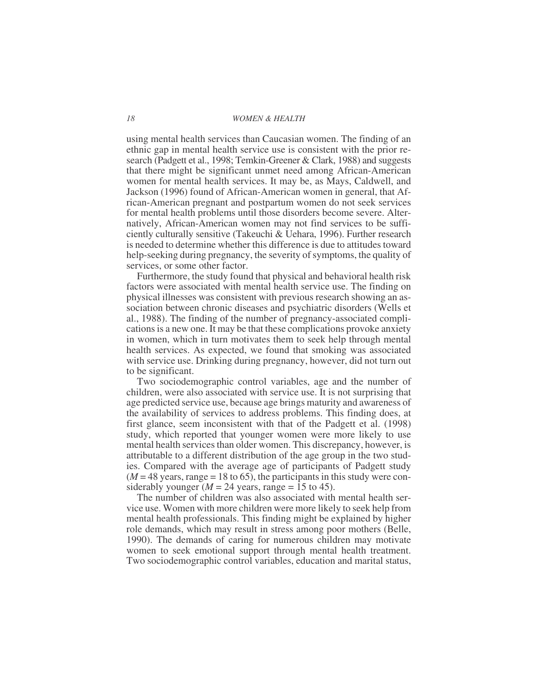using mental health services than Caucasian women. The finding of an ethnic gap in mental health service use is consistent with the prior research (Padgett et al., 1998; Temkin-Greener & Clark, 1988) and suggests that there might be significant unmet need among African-American women for mental health services. It may be, as Mays, Caldwell, and Jackson (1996) found of African-American women in general, that African-American pregnant and postpartum women do not seek services for mental health problems until those disorders become severe. Alternatively, African-American women may not find services to be sufficiently culturally sensitive (Takeuchi & Uehara, 1996). Further research is needed to determine whether this difference is due to attitudes toward help-seeking during pregnancy, the severity of symptoms, the quality of services, or some other factor.

Furthermore, the study found that physical and behavioral health risk factors were associated with mental health service use. The finding on physical illnesses was consistent with previous research showing an association between chronic diseases and psychiatric disorders (Wells et al., 1988). The finding of the number of pregnancy-associated complications is a new one. It may be that these complications provoke anxiety in women, which in turn motivates them to seek help through mental health services. As expected, we found that smoking was associated with service use. Drinking during pregnancy, however, did not turn out to be significant.

Two sociodemographic control variables, age and the number of children, were also associated with service use. It is not surprising that age predicted service use, because age brings maturity and awareness of the availability of services to address problems. This finding does, at first glance, seem inconsistent with that of the Padgett et al. (1998) study, which reported that younger women were more likely to use mental health services than older women. This discrepancy, however, is attributable to a different distribution of the age group in the two studies. Compared with the average age of participants of Padgett study  $(M = 48$  years, range = 18 to 65), the participants in this study were considerably younger ( $M = 24$  years, range = 15 to 45).

The number of children was also associated with mental health service use. Women with more children were more likely to seek help from mental health professionals. This finding might be explained by higher role demands, which may result in stress among poor mothers (Belle, 1990). The demands of caring for numerous children may motivate women to seek emotional support through mental health treatment. Two sociodemographic control variables, education and marital status,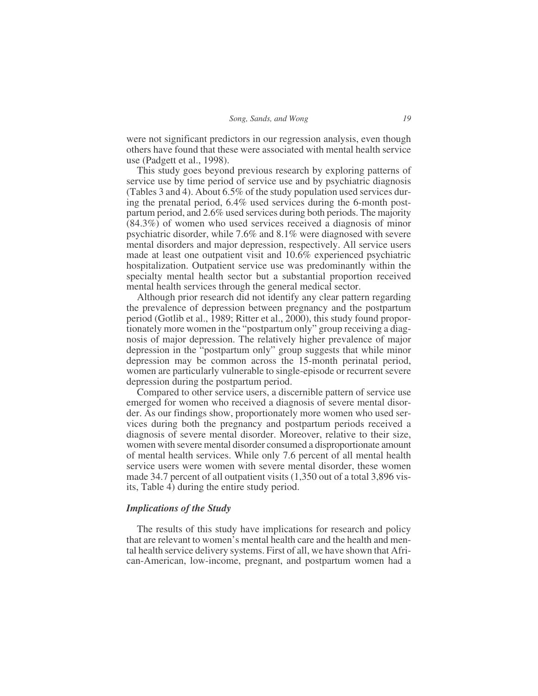were not significant predictors in our regression analysis, even though others have found that these were associated with mental health service use (Padgett et al., 1998).

This study goes beyond previous research by exploring patterns of service use by time period of service use and by psychiatric diagnosis (Tables 3 and 4). About 6.5% of the study population used services during the prenatal period, 6.4% used services during the 6-month postpartum period, and 2.6% used services during both periods. The majority (84.3%) of women who used services received a diagnosis of minor psychiatric disorder, while 7.6% and 8.1% were diagnosed with severe mental disorders and major depression, respectively. All service users made at least one outpatient visit and 10.6% experienced psychiatric hospitalization. Outpatient service use was predominantly within the specialty mental health sector but a substantial proportion received mental health services through the general medical sector.

Although prior research did not identify any clear pattern regarding the prevalence of depression between pregnancy and the postpartum period (Gotlib et al., 1989; Ritter et al., 2000), this study found proportionately more women in the "postpartum only" group receiving a diagnosis of major depression. The relatively higher prevalence of major depression in the "postpartum only" group suggests that while minor depression may be common across the 15-month perinatal period, women are particularly vulnerable to single-episode or recurrent severe depression during the postpartum period.

Compared to other service users, a discernible pattern of service use emerged for women who received a diagnosis of severe mental disorder. As our findings show, proportionately more women who used services during both the pregnancy and postpartum periods received a diagnosis of severe mental disorder. Moreover, relative to their size, women with severe mental disorder consumed a disproportionate amount of mental health services. While only 7.6 percent of all mental health service users were women with severe mental disorder, these women made 34.7 percent of all outpatient visits (1,350 out of a total 3,896 visits, Table 4) during the entire study period.

## *Implications of the Study*

The results of this study have implications for research and policy that are relevant to women's mental health care and the health and mental health service delivery systems. First of all, we have shown that African-American, low-income, pregnant, and postpartum women had a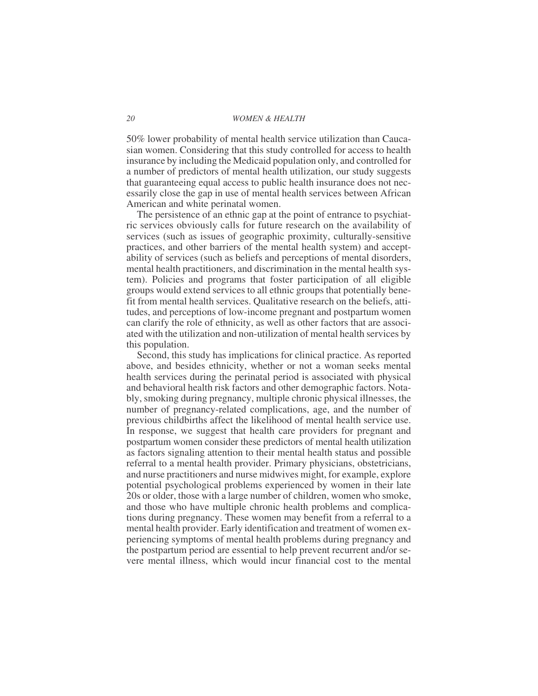50% lower probability of mental health service utilization than Caucasian women. Considering that this study controlled for access to health insurance by including the Medicaid population only, and controlled for a number of predictors of mental health utilization, our study suggests that guaranteeing equal access to public health insurance does not necessarily close the gap in use of mental health services between African American and white perinatal women.

The persistence of an ethnic gap at the point of entrance to psychiatric services obviously calls for future research on the availability of services (such as issues of geographic proximity, culturally-sensitive practices, and other barriers of the mental health system) and acceptability of services (such as beliefs and perceptions of mental disorders, mental health practitioners, and discrimination in the mental health system). Policies and programs that foster participation of all eligible groups would extend services to all ethnic groups that potentially benefit from mental health services. Qualitative research on the beliefs, attitudes, and perceptions of low-income pregnant and postpartum women can clarify the role of ethnicity, as well as other factors that are associated with the utilization and non-utilization of mental health services by this population.

Second, this study has implications for clinical practice. As reported above, and besides ethnicity, whether or not a woman seeks mental health services during the perinatal period is associated with physical and behavioral health risk factors and other demographic factors. Notably, smoking during pregnancy, multiple chronic physical illnesses, the number of pregnancy-related complications, age, and the number of previous childbirths affect the likelihood of mental health service use. In response, we suggest that health care providers for pregnant and postpartum women consider these predictors of mental health utilization as factors signaling attention to their mental health status and possible referral to a mental health provider. Primary physicians, obstetricians, and nurse practitioners and nurse midwives might, for example, explore potential psychological problems experienced by women in their late 20s or older, those with a large number of children, women who smoke, and those who have multiple chronic health problems and complications during pregnancy. These women may benefit from a referral to a mental health provider. Early identification and treatment of women experiencing symptoms of mental health problems during pregnancy and the postpartum period are essential to help prevent recurrent and/or severe mental illness, which would incur financial cost to the mental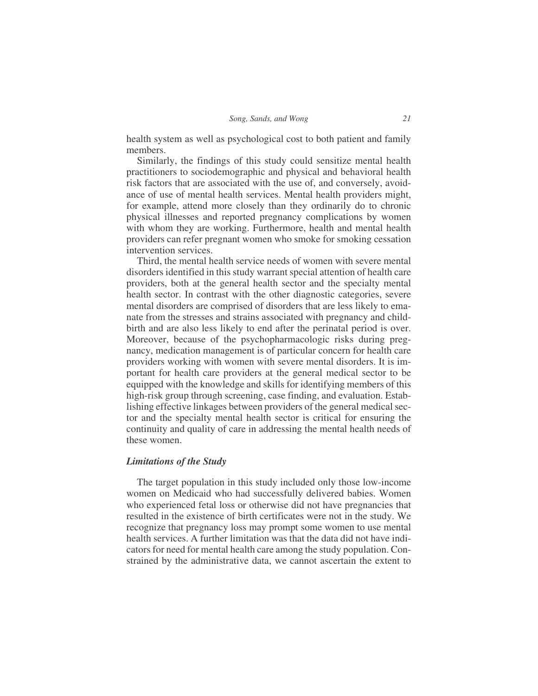health system as well as psychological cost to both patient and family members.

Similarly, the findings of this study could sensitize mental health practitioners to sociodemographic and physical and behavioral health risk factors that are associated with the use of, and conversely, avoidance of use of mental health services. Mental health providers might, for example, attend more closely than they ordinarily do to chronic physical illnesses and reported pregnancy complications by women with whom they are working. Furthermore, health and mental health providers can refer pregnant women who smoke for smoking cessation intervention services.

Third, the mental health service needs of women with severe mental disorders identified in this study warrant special attention of health care providers, both at the general health sector and the specialty mental health sector. In contrast with the other diagnostic categories, severe mental disorders are comprised of disorders that are less likely to emanate from the stresses and strains associated with pregnancy and childbirth and are also less likely to end after the perinatal period is over. Moreover, because of the psychopharmacologic risks during pregnancy, medication management is of particular concern for health care providers working with women with severe mental disorders. It is important for health care providers at the general medical sector to be equipped with the knowledge and skills for identifying members of this high-risk group through screening, case finding, and evaluation. Establishing effective linkages between providers of the general medical sector and the specialty mental health sector is critical for ensuring the continuity and quality of care in addressing the mental health needs of these women.

## *Limitations of the Study*

The target population in this study included only those low-income women on Medicaid who had successfully delivered babies. Women who experienced fetal loss or otherwise did not have pregnancies that resulted in the existence of birth certificates were not in the study. We recognize that pregnancy loss may prompt some women to use mental health services. A further limitation was that the data did not have indicators for need for mental health care among the study population. Constrained by the administrative data, we cannot ascertain the extent to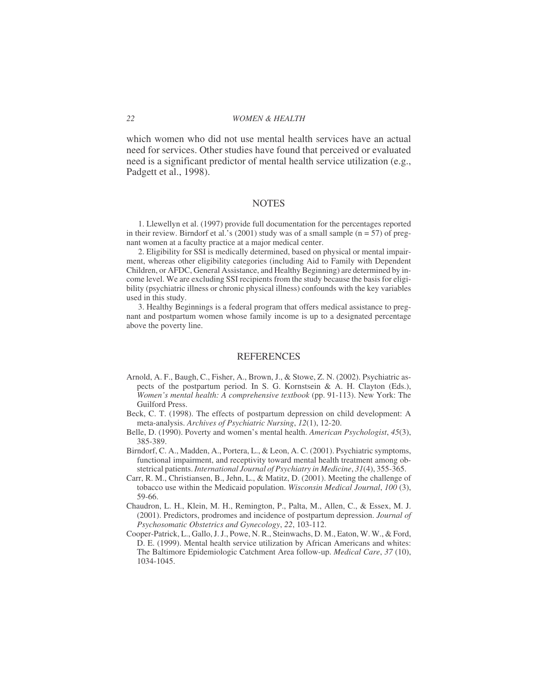which women who did not use mental health services have an actual need for services. Other studies have found that perceived or evaluated need is a significant predictor of mental health service utilization (e.g., Padgett et al., 1998).

## **NOTES**

1. Llewellyn et al. (1997) provide full documentation for the percentages reported in their review. Birndorf et al.'s (2001) study was of a small sample ( $n = 57$ ) of pregnant women at a faculty practice at a major medical center.

2. Eligibility for SSI is medically determined, based on physical or mental impairment, whereas other eligibility categories (including Aid to Family with Dependent Children, or AFDC, General Assistance, and Healthy Beginning) are determined by income level. We are excluding SSI recipients from the study because the basis for eligibility (psychiatric illness or chronic physical illness) confounds with the key variables used in this study.

3. Healthy Beginnings is a federal program that offers medical assistance to pregnant and postpartum women whose family income is up to a designated percentage above the poverty line.

#### REFERENCES

- Arnold, A. F., Baugh, C., Fisher, A., Brown, J., & Stowe, Z. N. (2002). Psychiatric aspects of the postpartum period. In S. G. Kornstsein & A. H. Clayton (Eds.), *Women's mental health: A comprehensive textbook* (pp. 91-113). New York: The Guilford Press.
- Beck, C. T. (1998). The effects of postpartum depression on child development: A meta-analysis. *Archives of Psychiatric Nursing*, *12*(1), 12-20.
- Belle, D. (1990). Poverty and women's mental health. *American Psychologist*, *45*(3), 385-389.
- Birndorf, C. A., Madden, A., Portera, L., & Leon, A. C. (2001). Psychiatric symptoms, functional impairment, and receptivity toward mental health treatment among obstetrical patients. *International Journal of Psychiatry in Medicine*, *31*(4), 355-365.
- Carr, R. M., Christiansen, B., Jehn, L., & Matitz, D. (2001). Meeting the challenge of tobacco use within the Medicaid population. *Wisconsin Medical Journal*, *100* (3), 59-66.
- Chaudron, L. H., Klein, M. H., Remington, P., Palta, M., Allen, C., & Essex, M. J. (2001). Predictors, prodromes and incidence of postpartum depression. *Journal of Psychosomatic Obstetrics and Gynecology*, *22*, 103-112.
- Cooper-Patrick, L., Gallo, J. J., Powe, N. R., Steinwachs, D. M., Eaton, W. W., & Ford, D. E. (1999). Mental health service utilization by African Americans and whites: The Baltimore Epidemiologic Catchment Area follow-up. *Medical Care*, *37* (10), 1034-1045.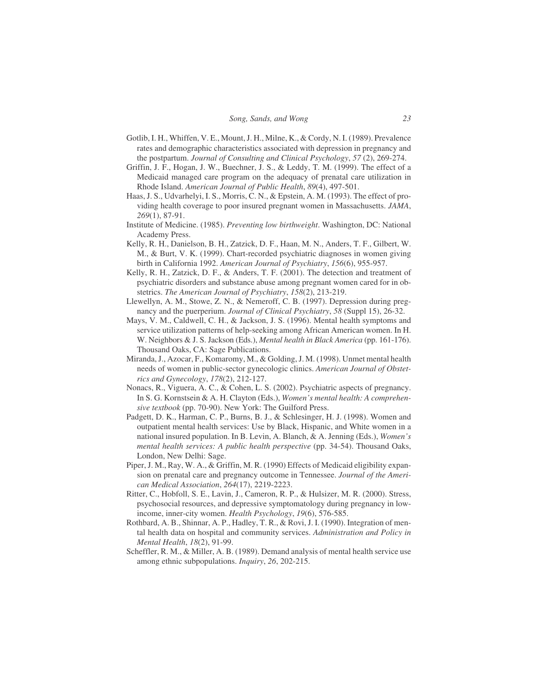- Gotlib, I. H., Whiffen, V. E., Mount, J. H., Milne, K., & Cordy, N. I. (1989). Prevalence rates and demographic characteristics associated with depression in pregnancy and the postpartum. *Journal of Consulting and Clinical Psychology*, *57* (2), 269-274.
- Griffin, J. F., Hogan, J. W., Buechner, J. S., & Leddy, T. M. (1999). The effect of a Medicaid managed care program on the adequacy of prenatal care utilization in Rhode Island. *American Journal of Public Health*, *89*(4), 497-501.
- Haas, J. S., Udvarhelyi, I. S., Morris, C. N., & Epstein, A. M. (1993). The effect of providing health coverage to poor insured pregnant women in Massachusetts. *JAMA*, *269*(1), 87-91.
- Institute of Medicine. (1985). *Preventing low birthweight*. Washington, DC: National Academy Press.
- Kelly, R. H., Danielson, B. H., Zatzick, D. F., Haan, M. N., Anders, T. F., Gilbert, W. M., & Burt, V. K. (1999). Chart-recorded psychiatric diagnoses in women giving birth in California 1992. *American Journal of Psychiatry*, *156*(6), 955-957.
- Kelly, R. H., Zatzick, D. F., & Anders, T. F. (2001). The detection and treatment of psychiatric disorders and substance abuse among pregnant women cared for in obstetrics. *The American Journal of Psychiatry*, *158*(2), 213-219.
- Llewellyn, A. M., Stowe, Z. N., & Nemeroff, C. B. (1997). Depression during pregnancy and the puerperium. *Journal of Clinical Psychiatry*, *58* (Suppl 15), 26-32.
- Mays, V. M., Caldwell, C. H., & Jackson, J. S. (1996). Mental health symptoms and service utilization patterns of help-seeking among African American women. In H. W. Neighbors & J. S. Jackson (Eds.), *Mental health in Black America* (pp. 161-176). Thousand Oaks, CA: Sage Publications.
- Miranda, J., Azocar, F., Komaromy, M., & Golding, J. M. (1998). Unmet mental health needs of women in public-sector gynecologic clinics. *American Journal of Obstetrics and Gynecology*, *178*(2), 212-127.
- Nonacs, R., Viguera, A. C., & Cohen, L. S. (2002). Psychiatric aspects of pregnancy. In S. G. Kornstsein & A. H. Clayton (Eds.), *Women's mental health: A comprehensive textbook* (pp. 70-90). New York: The Guilford Press.
- Padgett, D. K., Harman, C. P., Burns, B. J., & Schlesinger, H. J. (1998). Women and outpatient mental health services: Use by Black, Hispanic, and White women in a national insured population. In B. Levin, A. Blanch, & A. Jenning (Eds.), *Women's mental health services: A public health perspective* (pp. 34-54). Thousand Oaks, London, New Delhi: Sage.
- Piper, J. M., Ray, W. A., & Griffin, M. R. (1990) Effects of Medicaid eligibility expansion on prenatal care and pregnancy outcome in Tennessee. *Journal of the American Medical Association*, *264*(17), 2219-2223.
- Ritter, C., Hobfoll, S. E., Lavin, J., Cameron, R. P., & Hulsizer, M. R. (2000). Stress, psychosocial resources, and depressive symptomatology during pregnancy in lowincome, inner-city women. *Health Psychology*, *19*(6), 576-585.
- Rothbard, A. B., Shinnar, A. P., Hadley, T. R., & Rovi, J. I. (1990). Integration of mental health data on hospital and community services. *Administration and Policy in Mental Health*, *18*(2), 91-99.
- Scheffler, R. M., & Miller, A. B. (1989). Demand analysis of mental health service use among ethnic subpopulations. *Inquiry*, *26*, 202-215.